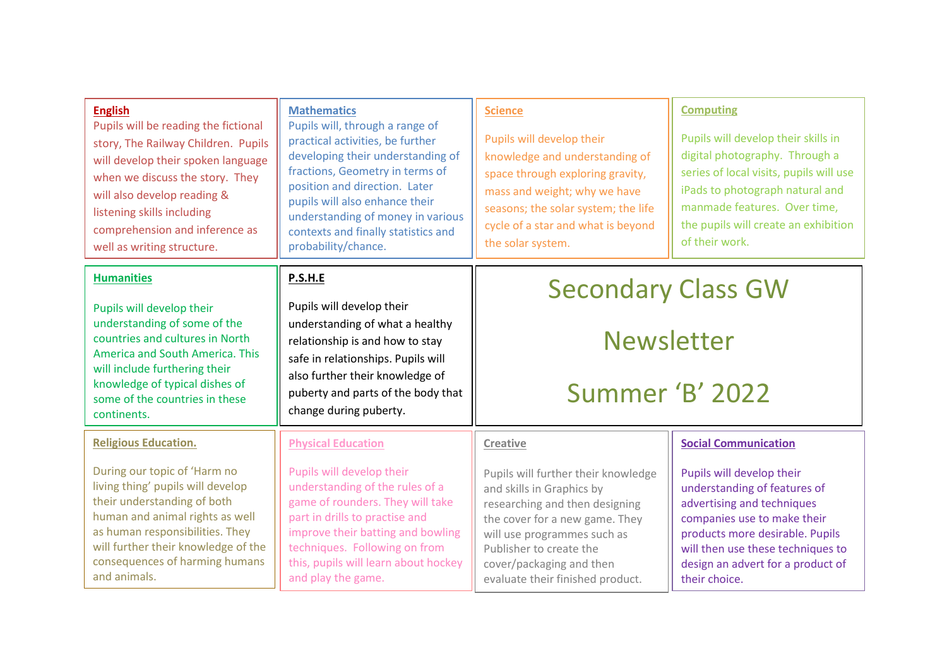| <b>English</b><br>Pupils will be reading the fictional<br>story, The Railway Children. Pupils<br>will develop their spoken language<br>when we discuss the story. They<br>will also develop reading &<br>listening skills including<br>comprehension and inference as<br>well as writing structure. | <b>Mathematics</b><br>Pupils will, through a range of<br>practical activities, be further<br>developing their understanding of<br>fractions, Geometry in terms of<br>position and direction. Later<br>pupils will also enhance their<br>understanding of money in various<br>contexts and finally statistics and<br>probability/chance. | <b>Science</b><br>Pupils will develop their<br>knowledge and understanding of<br>space through exploring gravity,<br>mass and weight; why we have<br>seasons; the solar system; the life<br>cycle of a star and what is beyond<br>the solar system.            | <b>Computing</b><br>Pupils will develop their skills in<br>digital photography. Through a<br>series of local visits, pupils will use<br>iPads to photograph natural and<br>manmade features. Over time,<br>the pupils will create an exhibition<br>of their work. |
|-----------------------------------------------------------------------------------------------------------------------------------------------------------------------------------------------------------------------------------------------------------------------------------------------------|-----------------------------------------------------------------------------------------------------------------------------------------------------------------------------------------------------------------------------------------------------------------------------------------------------------------------------------------|----------------------------------------------------------------------------------------------------------------------------------------------------------------------------------------------------------------------------------------------------------------|-------------------------------------------------------------------------------------------------------------------------------------------------------------------------------------------------------------------------------------------------------------------|
| <b>Humanities</b>                                                                                                                                                                                                                                                                                   | P.S.H.E                                                                                                                                                                                                                                                                                                                                 | <b>Secondary Class GW</b>                                                                                                                                                                                                                                      |                                                                                                                                                                                                                                                                   |
| Pupils will develop their<br>understanding of some of the<br>countries and cultures in North<br>America and South America. This<br>will include furthering their<br>knowledge of typical dishes of<br>some of the countries in these<br>continents.                                                 | Pupils will develop their<br>understanding of what a healthy<br>relationship is and how to stay<br>safe in relationships. Pupils will<br>also further their knowledge of<br>puberty and parts of the body that<br>change during puberty.                                                                                                |                                                                                                                                                                                                                                                                |                                                                                                                                                                                                                                                                   |
|                                                                                                                                                                                                                                                                                                     |                                                                                                                                                                                                                                                                                                                                         | <b>Newsletter</b>                                                                                                                                                                                                                                              |                                                                                                                                                                                                                                                                   |
|                                                                                                                                                                                                                                                                                                     |                                                                                                                                                                                                                                                                                                                                         |                                                                                                                                                                                                                                                                |                                                                                                                                                                                                                                                                   |
|                                                                                                                                                                                                                                                                                                     |                                                                                                                                                                                                                                                                                                                                         | <b>Religious Education.</b>                                                                                                                                                                                                                                    | <b>Physical Education</b>                                                                                                                                                                                                                                         |
| During our topic of 'Harm no<br>living thing' pupils will develop<br>their understanding of both<br>human and animal rights as well<br>as human responsibilities. They<br>will further their knowledge of the<br>consequences of harming humans<br>and animals.                                     | Pupils will develop their<br>understanding of the rules of a<br>game of rounders. They will take<br>part in drills to practise and<br>improve their batting and bowling<br>techniques. Following on from<br>this, pupils will learn about hockey<br>and play the game.                                                                  | Pupils will further their knowledge<br>and skills in Graphics by<br>researching and then designing<br>the cover for a new game. They<br>will use programmes such as<br>Publisher to create the<br>cover/packaging and then<br>evaluate their finished product. | Pupils will develop their<br>understanding of features of<br>advertising and techniques<br>companies use to make their<br>products more desirable. Pupils<br>will then use these techniques to<br>design an advert for a product of<br>their choice.              |